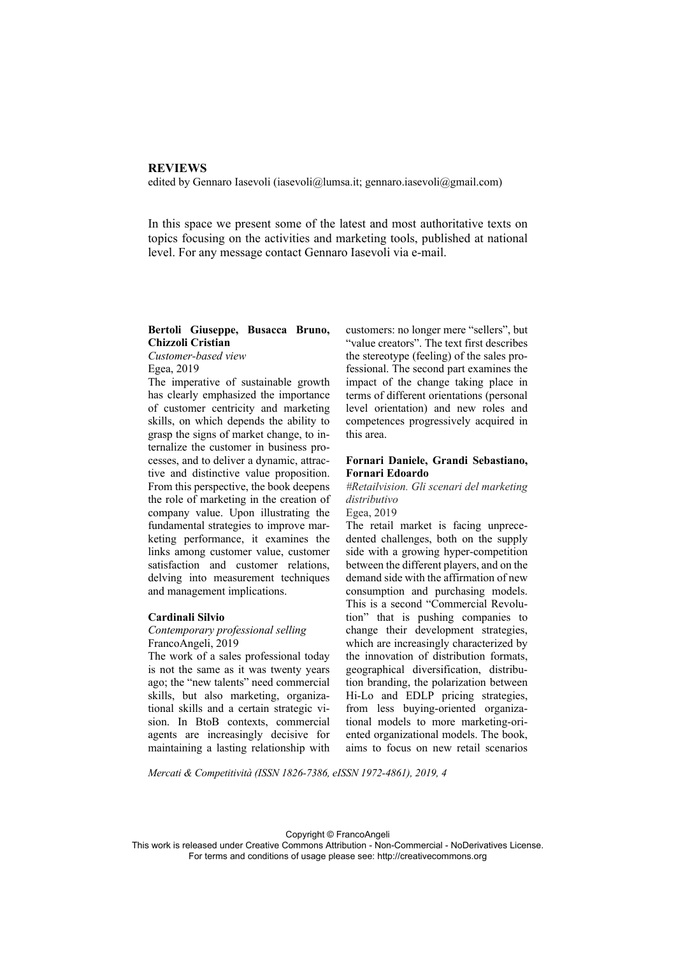#### **REVIEWS**

edited by Gennaro Iasevoli (iasevoli@lumsa.it; gennaro.iasevoli@gmail.com)

In this space we present some of the latest and most authoritative texts on topics focusing on the activities and marketing tools, published at national level. For any message contact Gennaro Iasevoli via e-mail.

# **Bertoli Giuseppe, Busacca Bruno, Chizzoli Cristian**

*Customer-based view*  Egea, 2019

The imperative of sustainable growth has clearly emphasized the importance of customer centricity and marketing skills, on which depends the ability to grasp the signs of market change, to internalize the customer in business processes, and to deliver a dynamic, attractive and distinctive value proposition. From this perspective, the book deepens the role of marketing in the creation of company value. Upon illustrating the fundamental strategies to improve marketing performance, it examines the links among customer value, customer satisfaction and customer relations, delving into measurement techniques and management implications.

#### **Cardinali Silvio**

*Contemporary professional selling*  FrancoAngeli, 2019

The work of a sales professional today is not the same as it was twenty years ago; the "new talents" need commercial skills, but also marketing, organizational skills and a certain strategic vision. In BtoB contexts, commercial agents are increasingly decisive for maintaining a lasting relationship with customers: no longer mere "sellers", but "value creators". The text first describes the stereotype (feeling) of the sales professional. The second part examines the impact of the change taking place in terms of different orientations (personal level orientation) and new roles and competences progressively acquired in this area.

# **Fornari Daniele, Grandi Sebastiano, Fornari Edoardo**

*#Retailvision. Gli scenari del marketing distributivo* 

Egea, 2019

The retail market is facing unprecedented challenges, both on the supply side with a growing hyper-competition between the different players, and on the demand side with the affirmation of new consumption and purchasing models. This is a second "Commercial Revolution" that is pushing companies to change their development strategies, which are increasingly characterized by the innovation of distribution formats, geographical diversification, distribution branding, the polarization between Hi-Lo and EDLP pricing strategies, from less buying-oriented organizational models to more marketing-oriented organizational models. The book, aims to focus on new retail scenarios

*Mercati & Competitività (ISSN 1826-7386, eISSN 1972-4861), 2019, 4*

Copyright © FrancoAngeli

This work is released under Creative Commons Attribution - Non-Commercial - NoDerivatives License. For terms and conditions of usage please see: http://creativecommons.org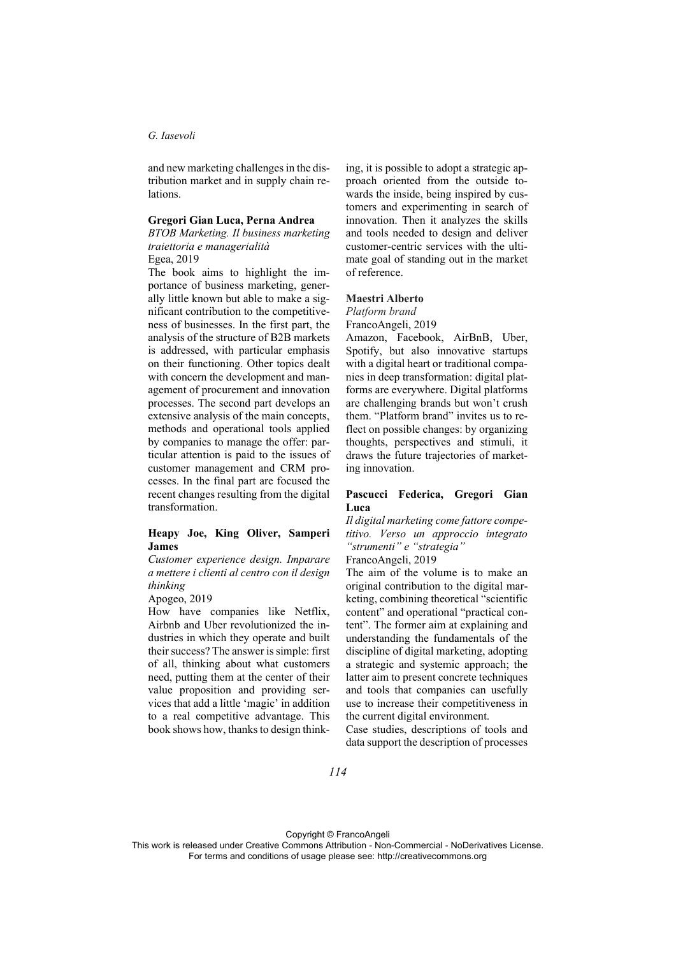#### *G. Iasevoli*

and new marketing challenges in the distribution market and in supply chain relations.

# **Gregori Gian Luca, Perna Andrea**

*BTOB Marketing. Il business marketing traiettoria e managerialità*

Egea, 2019

The book aims to highlight the importance of business marketing, generally little known but able to make a significant contribution to the competitiveness of businesses. In the first part, the analysis of the structure of B2B markets is addressed, with particular emphasis on their functioning. Other topics dealt with concern the development and management of procurement and innovation processes. The second part develops an extensive analysis of the main concepts, methods and operational tools applied by companies to manage the offer: particular attention is paid to the issues of customer management and CRM processes. In the final part are focused the recent changes resulting from the digital transformation.

# **Heapy Joe, King Oliver, Samperi James**

*Customer experience design. Imparare a mettere i clienti al centro con il design thinking* 

Apogeo, 2019

How have companies like Netflix, Airbnb and Uber revolutionized the industries in which they operate and built their success? The answer is simple: first of all, thinking about what customers need, putting them at the center of their value proposition and providing services that add a little 'magic' in addition to a real competitive advantage. This book shows how, thanks to design thinking, it is possible to adopt a strategic approach oriented from the outside towards the inside, being inspired by customers and experimenting in search of innovation. Then it analyzes the skills and tools needed to design and deliver customer-centric services with the ultimate goal of standing out in the market of reference.

#### **Maestri Alberto**

*Platform brand* 

FrancoAngeli, 2019

Amazon, Facebook, AirBnB, Uber, Spotify, but also innovative startups with a digital heart or traditional companies in deep transformation: digital platforms are everywhere. Digital platforms are challenging brands but won't crush them. "Platform brand" invites us to reflect on possible changes: by organizing thoughts, perspectives and stimuli, it draws the future trajectories of marketing innovation.

### **Pascucci Federica, Gregori Gian Luca**

*Il digital marketing come fattore competitivo. Verso un approccio integrato "strumenti" e "strategia"* 

FrancoAngeli, 2019

The aim of the volume is to make an original contribution to the digital marketing, combining theoretical "scientific content" and operational "practical content". The former aim at explaining and understanding the fundamentals of the discipline of digital marketing, adopting a strategic and systemic approach; the latter aim to present concrete techniques and tools that companies can usefully use to increase their competitiveness in the current digital environment.

Case studies, descriptions of tools and data support the description of processes

Copyright © FrancoAngeli

This work is released under Creative Commons Attribution - Non-Commercial - NoDerivatives License. For terms and conditions of usage please see: http://creativecommons.org